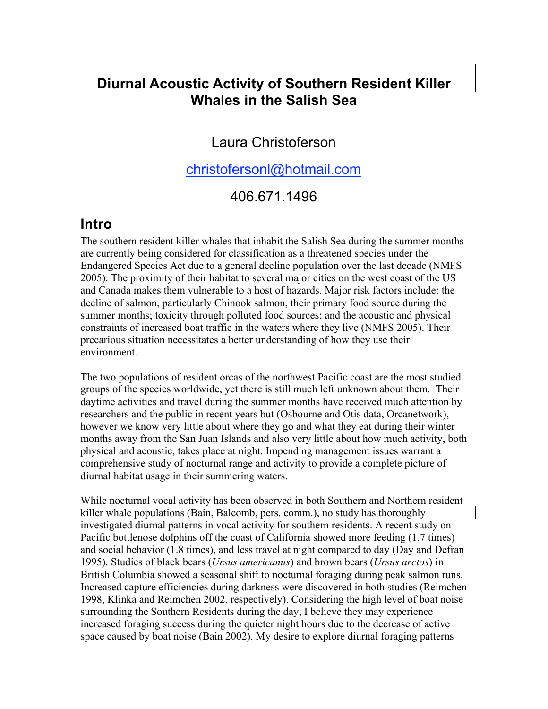# **Diurnal Acoustic Activity of Southern Resident Killer Whales in the Salish Sea**

### Laura Christoferson

### christofersonl@hotmail.com

### 406.671.1496

#### **Intro**

The southern resident killer whales that inhabit the Salish Sea during the summer months are currently being considered for classification as a threatened species under the Endangered Species Act due to a general decline population over the last decade (NMFS 2005). The proximity of their habitat to several major cities on the west coast of the US and Canada makes them vulnerable to a host of hazards. Major risk factors include: the decline of salmon, particularly Chinook salmon, their primary food source during the summer months; toxicity through polluted food sources; and the acoustic and physical constraints of increased boat traffic in the waters where they live (NMFS 2005). Their precarious situation necessitates a better understanding of how they use their environment.

The two populations of resident orcas of the northwest Pacific coast are the most studied groups of the species worldwide, yet there is still much left unknown about them. Their daytime activities and travel during the summer months have received much attention by researchers and the public in recent years but (Osbourne and Otis data, Orcanetwork), however we know very little about where they go and what they eat during their winter months away from the San Juan Islands and also very little about how much activity, both physical and acoustic, takes place at night. Impending management issues warrant a comprehensive study of nocturnal range and activity to provide a complete picture of diurnal habitat usage in their summering waters.

While nocturnal vocal activity has been observed in both Southern and Northern resident killer whale populations (Bain, Balcomb, pers. comm.), no study has thoroughly investigated diurnal patterns in vocal activity for southern residents. A recent study on Pacific bottlenose dolphins off the coast of California showed more feeding (1.7 times) and social behavior (1.8 times), and less travel at night compared to day (Day and Defran 1995). Studies of black bears (*Ursus americanus*) and brown bears (*Ursus arctos*) in British Columbia showed a seasonal shift to nocturnal foraging during peak salmon runs. Increased capture efficiencies during darkness were discovered in both studies (Reimchen 1998, Klinka and Reimchen 2002, respectively). Considering the high level of boat noise surrounding the Southern Residents during the day, I believe they may experience increased foraging success during the quieter night hours due to the decrease of active space caused by boat noise (Bain 2002). My desire to explore diurnal foraging patterns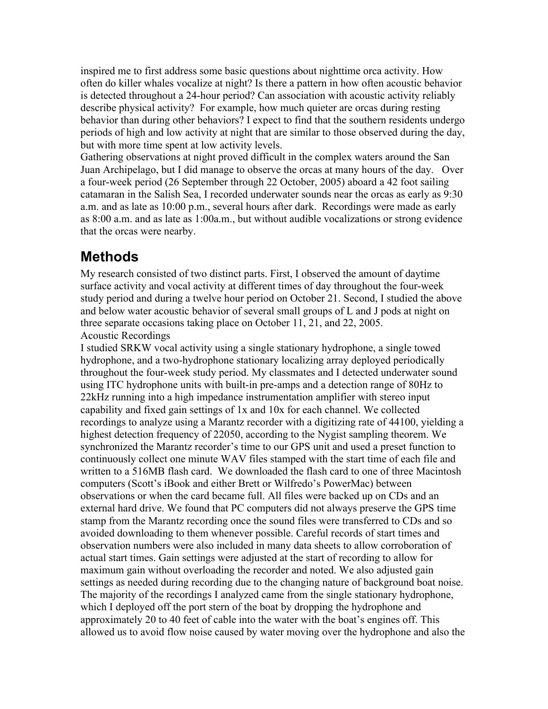inspired me to first address some basic questions about nighttime orca activity. How often do killer whales vocalize at night? Is there a pattern in how often acoustic behavior is detected throughout a 24-hour period? Can association with acoustic activity reliably describe physical activity? For example, how much quieter are orcas during resting behavior than during other behaviors? I expect to find that the southern residents undergo periods of high and low activity at night that are similar to those observed during the day, but with more time spent at low activity levels.

Gathering observations at night proved difficult in the complex waters around the San Juan Archipelago, but I did manage to observe the orcas at many hours of the day. Over a four-week period (26 September through 22 October, 2005) aboard a 42 foot sailing catamaran in the Salish Sea, I recorded underwater sounds near the orcas as early as 9:30 a.m. and as late as 10:00 p.m., several hours after dark. Recordings were made as early as 8:00 a.m. and as late as 1:00a.m., but without audible vocalizations or strong evidence that the orcas were nearby.

# **Methods**

My research consisted of two distinct parts. First, I observed the amount of daytime surface activity and vocal activity at different times of day throughout the four-week study period and during a twelve hour period on October 21. Second, I studied the above and below water acoustic behavior of several small groups of L and J pods at night on three separate occasions taking place on October 11, 21, and 22, 2005. Acoustic Recordings

I studied SRKW vocal activity using a single stationary hydrophone, a single towed hydrophone, and a two-hydrophone stationary localizing array deployed periodically throughout the four-week study period. My classmates and I detected underwater sound using ITC hydrophone units with built-in pre-amps and a detection range of 80Hz to 22kHz running into a high impedance instrumentation amplifier with stereo input capability and fixed gain settings of 1x and 10x for each channel. We collected recordings to analyze using a Marantz recorder with a digitizing rate of 44100, yielding a highest detection frequency of 22050, according to the Nygist sampling theorem. We synchronized the Marantz recorder's time to our GPS unit and used a preset function to continuously collect one minute WAV files stamped with the start time of each file and written to a 516MB flash card. We downloaded the flash card to one of three Macintosh computers (Scott's iBook and either Brett or Wilfredo's PowerMac) between observations or when the card became full. All files were backed up on CDs and an external hard drive. We found that PC computers did not always preserve the GPS time stamp from the Marantz recording once the sound files were transferred to CDs and so avoided downloading to them whenever possible. Careful records of start times and observation numbers were also included in many data sheets to allow corroboration of actual start times. Gain settings were adjusted at the start of recording to allow for maximum gain without overloading the recorder and noted. We also adjusted gain settings as needed during recording due to the changing nature of background boat noise. The majority of the recordings I analyzed came from the single stationary hydrophone, which I deployed off the port stern of the boat by dropping the hydrophone and approximately 20 to 40 feet of cable into the water with the boat's engines off. This allowed us to avoid flow noise caused by water moving over the hydrophone and also the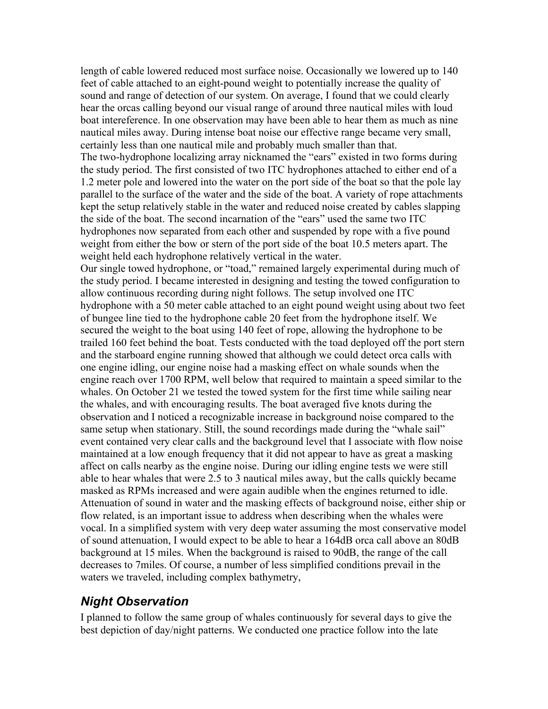length of cable lowered reduced most surface noise. Occasionally we lowered up to 140 feet of cable attached to an eight-pound weight to potentially increase the quality of sound and range of detection of our system. On average, I found that we could clearly hear the orcas calling beyond our visual range of around three nautical miles with loud boat intereference. In one observation may have been able to hear them as much as nine nautical miles away. During intense boat noise our effective range became very small, certainly less than one nautical mile and probably much smaller than that. The two-hydrophone localizing array nicknamed the "ears" existed in two forms during the study period. The first consisted of two ITC hydrophones attached to either end of a 1.2 meter pole and lowered into the water on the port side of the boat so that the pole lay parallel to the surface of the water and the side of the boat. A variety of rope attachments kept the setup relatively stable in the water and reduced noise created by cables slapping the side of the boat. The second incarnation of the "ears" used the same two ITC hydrophones now separated from each other and suspended by rope with a five pound weight from either the bow or stern of the port side of the boat 10.5 meters apart. The weight held each hydrophone relatively vertical in the water.

Our single towed hydrophone, or "toad," remained largely experimental during much of the study period. I became interested in designing and testing the towed configuration to allow continuous recording during night follows. The setup involved one ITC hydrophone with a 50 meter cable attached to an eight pound weight using about two feet of bungee line tied to the hydrophone cable 20 feet from the hydrophone itself. We secured the weight to the boat using 140 feet of rope, allowing the hydrophone to be trailed 160 feet behind the boat. Tests conducted with the toad deployed off the port stern and the starboard engine running showed that although we could detect orca calls with one engine idling, our engine noise had a masking effect on whale sounds when the engine reach over 1700 RPM, well below that required to maintain a speed similar to the whales. On October 21 we tested the towed system for the first time while sailing near the whales, and with encouraging results. The boat averaged five knots during the observation and I noticed a recognizable increase in background noise compared to the same setup when stationary. Still, the sound recordings made during the "whale sail" event contained very clear calls and the background level that I associate with flow noise maintained at a low enough frequency that it did not appear to have as great a masking affect on calls nearby as the engine noise. During our idling engine tests we were still able to hear whales that were 2.5 to 3 nautical miles away, but the calls quickly became masked as RPMs increased and were again audible when the engines returned to idle. Attenuation of sound in water and the masking effects of background noise, either ship or flow related, is an important issue to address when describing when the whales were vocal. In a simplified system with very deep water assuming the most conservative model of sound attenuation, I would expect to be able to hear a 164dB orca call above an 80dB background at 15 miles. When the background is raised to 90dB, the range of the call decreases to 7miles. Of course, a number of less simplified conditions prevail in the waters we traveled, including complex bathymetry,

## *Night Observation*

I planned to follow the same group of whales continuously for several days to give the best depiction of day/night patterns. We conducted one practice follow into the late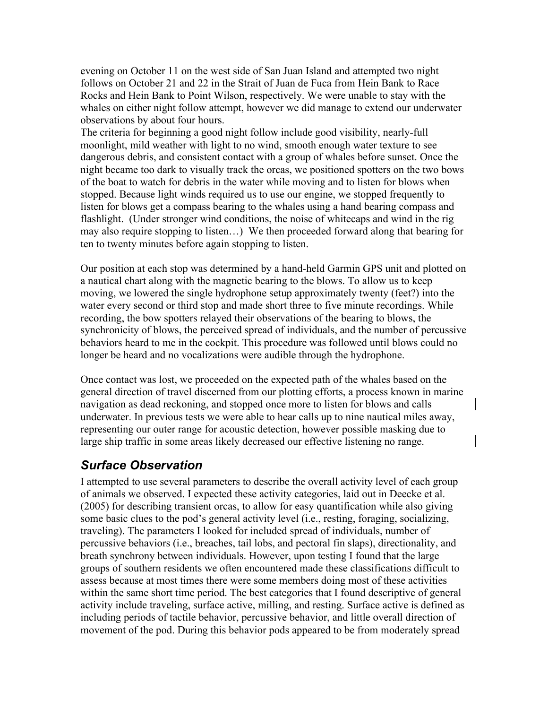evening on October 11 on the west side of San Juan Island and attempted two night follows on October 21 and 22 in the Strait of Juan de Fuca from Hein Bank to Race Rocks and Hein Bank to Point Wilson, respectively. We were unable to stay with the whales on either night follow attempt, however we did manage to extend our underwater observations by about four hours.

The criteria for beginning a good night follow include good visibility, nearly-full moonlight, mild weather with light to no wind, smooth enough water texture to see dangerous debris, and consistent contact with a group of whales before sunset. Once the night became too dark to visually track the orcas, we positioned spotters on the two bows of the boat to watch for debris in the water while moving and to listen for blows when stopped. Because light winds required us to use our engine, we stopped frequently to listen for blows get a compass bearing to the whales using a hand bearing compass and flashlight. (Under stronger wind conditions, the noise of whitecaps and wind in the rig may also require stopping to listen…) We then proceeded forward along that bearing for ten to twenty minutes before again stopping to listen.

Our position at each stop was determined by a hand-held Garmin GPS unit and plotted on a nautical chart along with the magnetic bearing to the blows. To allow us to keep moving, we lowered the single hydrophone setup approximately twenty (feet?) into the water every second or third stop and made short three to five minute recordings. While recording, the bow spotters relayed their observations of the bearing to blows, the synchronicity of blows, the perceived spread of individuals, and the number of percussive behaviors heard to me in the cockpit. This procedure was followed until blows could no longer be heard and no vocalizations were audible through the hydrophone.

Once contact was lost, we proceeded on the expected path of the whales based on the general direction of travel discerned from our plotting efforts, a process known in marine navigation as dead reckoning, and stopped once more to listen for blows and calls underwater. In previous tests we were able to hear calls up to nine nautical miles away, representing our outer range for acoustic detection, however possible masking due to large ship traffic in some areas likely decreased our effective listening no range.

#### *Surface Observation*

I attempted to use several parameters to describe the overall activity level of each group of animals we observed. I expected these activity categories, laid out in Deecke et al. (2005) for describing transient orcas, to allow for easy quantification while also giving some basic clues to the pod's general activity level (i.e., resting, foraging, socializing, traveling). The parameters I looked for included spread of individuals, number of percussive behaviors (i.e., breaches, tail lobs, and pectoral fin slaps), directionality, and breath synchrony between individuals. However, upon testing I found that the large groups of southern residents we often encountered made these classifications difficult to assess because at most times there were some members doing most of these activities within the same short time period. The best categories that I found descriptive of general activity include traveling, surface active, milling, and resting. Surface active is defined as including periods of tactile behavior, percussive behavior, and little overall direction of movement of the pod. During this behavior pods appeared to be from moderately spread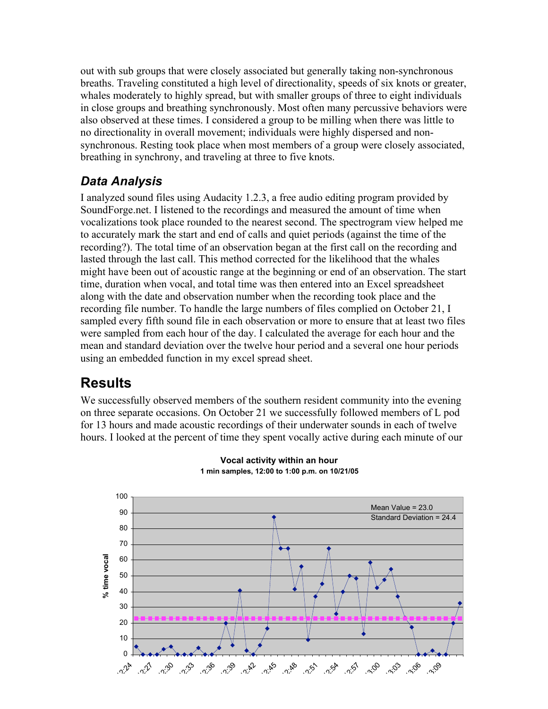out with sub groups that were closely associated but generally taking non-synchronous breaths. Traveling constituted a high level of directionality, speeds of six knots or greater, whales moderately to highly spread, but with smaller groups of three to eight individuals in close groups and breathing synchronously. Most often many percussive behaviors were also observed at these times. I considered a group to be milling when there was little to no directionality in overall movement; individuals were highly dispersed and nonsynchronous. Resting took place when most members of a group were closely associated, breathing in synchrony, and traveling at three to five knots.

## *Data Analysis*

I analyzed sound files using Audacity 1.2.3, a free audio editing program provided by SoundForge.net. I listened to the recordings and measured the amount of time when vocalizations took place rounded to the nearest second. The spectrogram view helped me to accurately mark the start and end of calls and quiet periods (against the time of the recording?). The total time of an observation began at the first call on the recording and lasted through the last call. This method corrected for the likelihood that the whales might have been out of acoustic range at the beginning or end of an observation. The start time, duration when vocal, and total time was then entered into an Excel spreadsheet along with the date and observation number when the recording took place and the recording file number. To handle the large numbers of files complied on October 21, I sampled every fifth sound file in each observation or more to ensure that at least two files were sampled from each hour of the day. I calculated the average for each hour and the mean and standard deviation over the twelve hour period and a several one hour periods using an embedded function in my excel spread sheet.

# **Results**

We successfully observed members of the southern resident community into the evening on three separate occasions. On October 21 we successfully followed members of L pod for 13 hours and made acoustic recordings of their underwater sounds in each of twelve hours. I looked at the percent of time they spent vocally active during each minute of our



#### **Vocal activity within an hour 1 min samples, 12:00 to 1:00 p.m. on 10/21/05**

**Time of day**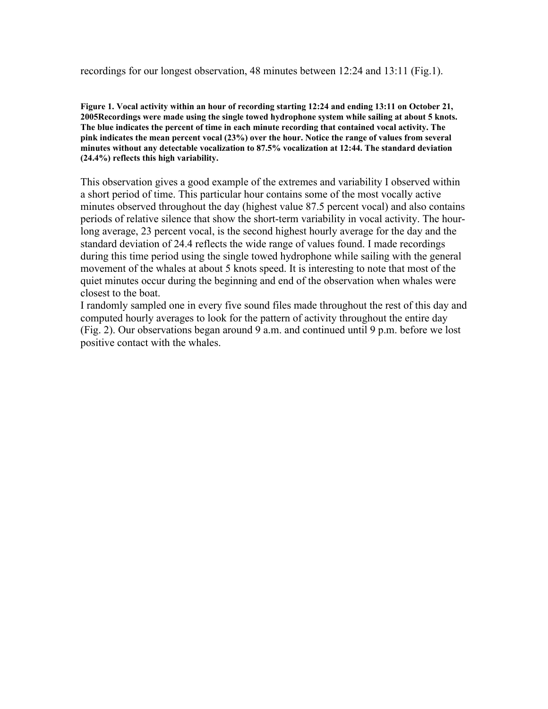recordings for our longest observation, 48 minutes between 12:24 and 13:11 (Fig.1).

Figure 1. Vocal activity within an hour of recording starting 12:24 and ending 13:11 on October 21, 2005Recordings were made using the single towed hydrophone system while sailing at about 5 knots. The blue indicates the percent of time in each minute recording that contained vocal activity. The pink indicates the mean percent vocal (23%) over the hour. Notice the range of values from several minutes without any detectable vocalization to 87.5% vocalization at 12:44. The standard deviation (24.4%) reflects this high variability.

This observation gives a good example of the extremes and variability I observed within a short period of time. This particular hour contains some of the most vocally active minutes observed throughout the day (highest value 87.5 percent vocal) and also contains periods of relative silence that show the short-term variability in vocal activity. The hourlong average, 23 percent vocal, is the second highest hourly average for the day and the standard deviation of 24.4 reflects the wide range of values found. I made recordings during this time period using the single towed hydrophone while sailing with the general movement of the whales at about 5 knots speed. It is interesting to note that most of the quiet minutes occur during the beginning and end of the observation when whales were closest to the boat.

I randomly sampled one in every five sound files made throughout the rest of this day and computed hourly averages to look for the pattern of activity throughout the entire day (Fig. 2). Our observations began around 9 a.m. and continued until 9 p.m. before we lost positive contact with the whales.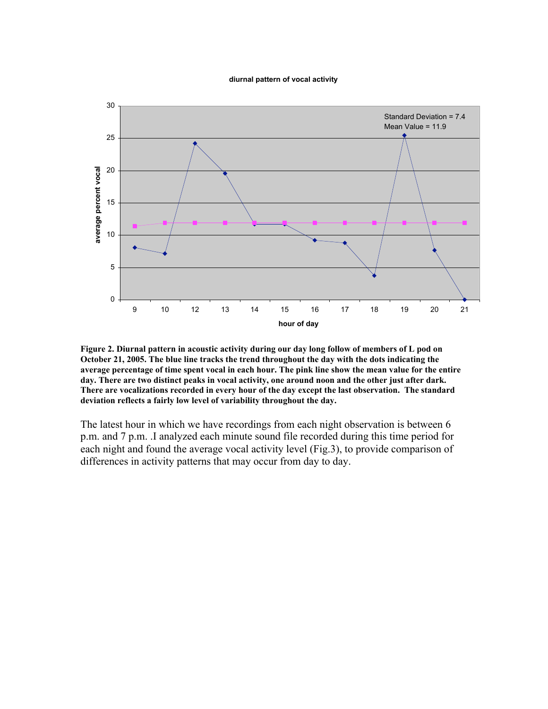#### **diurnal pattern of vocal activity**



Figure 2. Diurnal pattern in acoustic activity during our day long follow of members of L pod on October 21, 2005. The blue line tracks the trend throughout the day with the dots indicating the average percentage of time spent vocal in each hour. The pink line show the mean value for the entire day. There are two distinct peaks in vocal activity, one around noon and the other just after dark. There are vocalizations recorded in every hour of the day except the last observation. The standard deviation reflects a fairly low level of variability throughout the day.

The latest hour in which we have recordings from each night observation is between 6 p.m. and 7 p.m. .I analyzed each minute sound file recorded during this time period for each night and found the average vocal activity level (Fig.3), to provide comparison of differences in activity patterns that may occur from day to day.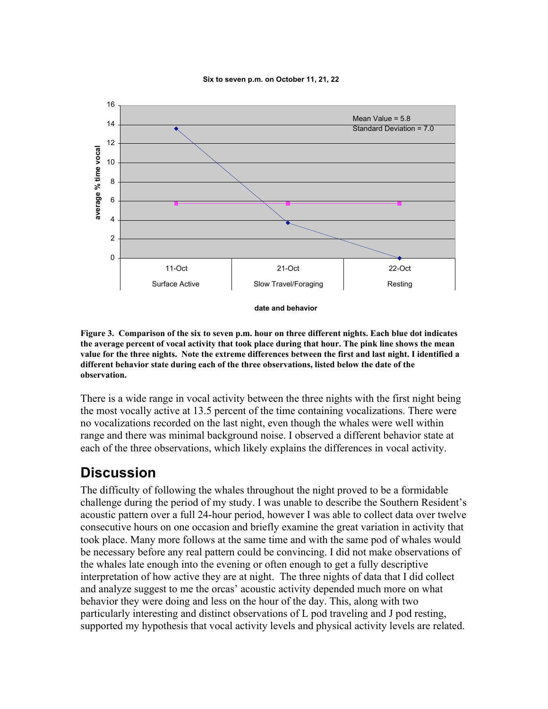



Figure 3. Comparison of the six to seven p.m. hour on three different nights. Each blue dot indicates the average percent of vocal activity that took place during that hour. The pink line shows the mean value for the three nights. Note the extreme differences between the first and last night. I identified a different behavior state during each of the three observations, listed below the date of the observation.

There is a wide range in vocal activity between the three nights with the first night being the most vocally active at 13.5 percent of the time containing vocalizations. There were no vocalizations recorded on the last night, even though the whales were well within range and there was minimal background noise. I observed a different behavior state at each of the three observations, which likely explains the differences in vocal activity.

# **Discussion**

The difficulty of following the whales throughout the night proved to be a formidable challenge during the period of my study. I was unable to describe the Southern Resident's acoustic pattern over a full 24-hour period, however I was able to collect data over twelve consecutive hours on one occasion and briefly examine the great variation in activity that took place. Many more follows at the same time and with the same pod of whales would be necessary before any real pattern could be convincing. I did not make observations of the whales late enough into the evening or often enough to get a fully descriptive interpretation of how active they are at night. The three nights of data that I did collect and analyze suggest to me the orcas' acoustic activity depended much more on what behavior they were doing and less on the hour of the day. This, along with two particularly interesting and distinct observations of L pod traveling and J pod resting, supported my hypothesis that vocal activity levels and physical activity levels are related.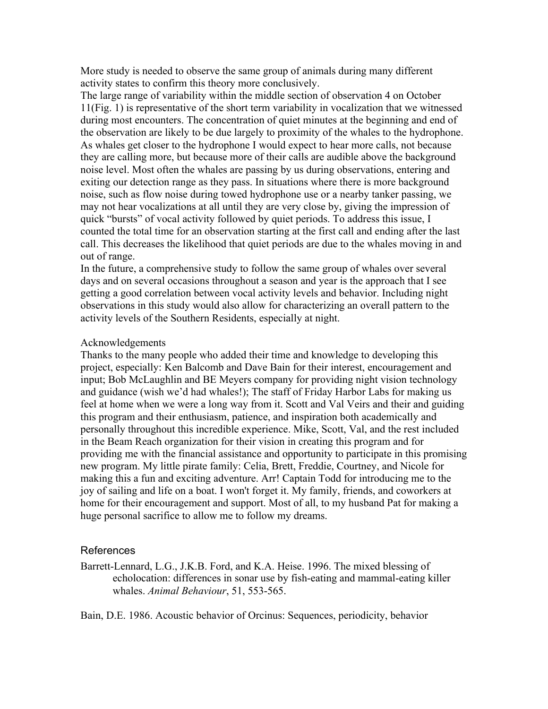More study is needed to observe the same group of animals during many different activity states to confirm this theory more conclusively.

The large range of variability within the middle section of observation 4 on October 11(Fig. 1) is representative of the short term variability in vocalization that we witnessed during most encounters. The concentration of quiet minutes at the beginning and end of the observation are likely to be due largely to proximity of the whales to the hydrophone. As whales get closer to the hydrophone I would expect to hear more calls, not because they are calling more, but because more of their calls are audible above the background noise level. Most often the whales are passing by us during observations, entering and exiting our detection range as they pass. In situations where there is more background noise, such as flow noise during towed hydrophone use or a nearby tanker passing, we may not hear vocalizations at all until they are very close by, giving the impression of quick "bursts" of vocal activity followed by quiet periods. To address this issue, I counted the total time for an observation starting at the first call and ending after the last call. This decreases the likelihood that quiet periods are due to the whales moving in and out of range.

In the future, a comprehensive study to follow the same group of whales over several days and on several occasions throughout a season and year is the approach that I see getting a good correlation between vocal activity levels and behavior. Including night observations in this study would also allow for characterizing an overall pattern to the activity levels of the Southern Residents, especially at night.

#### Acknowledgements

Thanks to the many people who added their time and knowledge to developing this project, especially: Ken Balcomb and Dave Bain for their interest, encouragement and input; Bob McLaughlin and BE Meyers company for providing night vision technology and guidance (wish we'd had whales!); The staff of Friday Harbor Labs for making us feel at home when we were a long way from it. Scott and Val Veirs and their and guiding this program and their enthusiasm, patience, and inspiration both academically and personally throughout this incredible experience. Mike, Scott, Val, and the rest included in the Beam Reach organization for their vision in creating this program and for providing me with the financial assistance and opportunity to participate in this promising new program. My little pirate family: Celia, Brett, Freddie, Courtney, and Nicole for making this a fun and exciting adventure. Arr! Captain Todd for introducing me to the joy of sailing and life on a boat. I won't forget it. My family, friends, and coworkers at home for their encouragement and support. Most of all, to my husband Pat for making a huge personal sacrifice to allow me to follow my dreams.

#### References

Barrett-Lennard, L.G., J.K.B. Ford, and K.A. Heise. 1996. The mixed blessing of echolocation: differences in sonar use by fish-eating and mammal-eating killer whales. *Animal Behaviour*, 51, 553-565.

Bain, D.E. 1986. Acoustic behavior of Orcinus: Sequences, periodicity, behavior